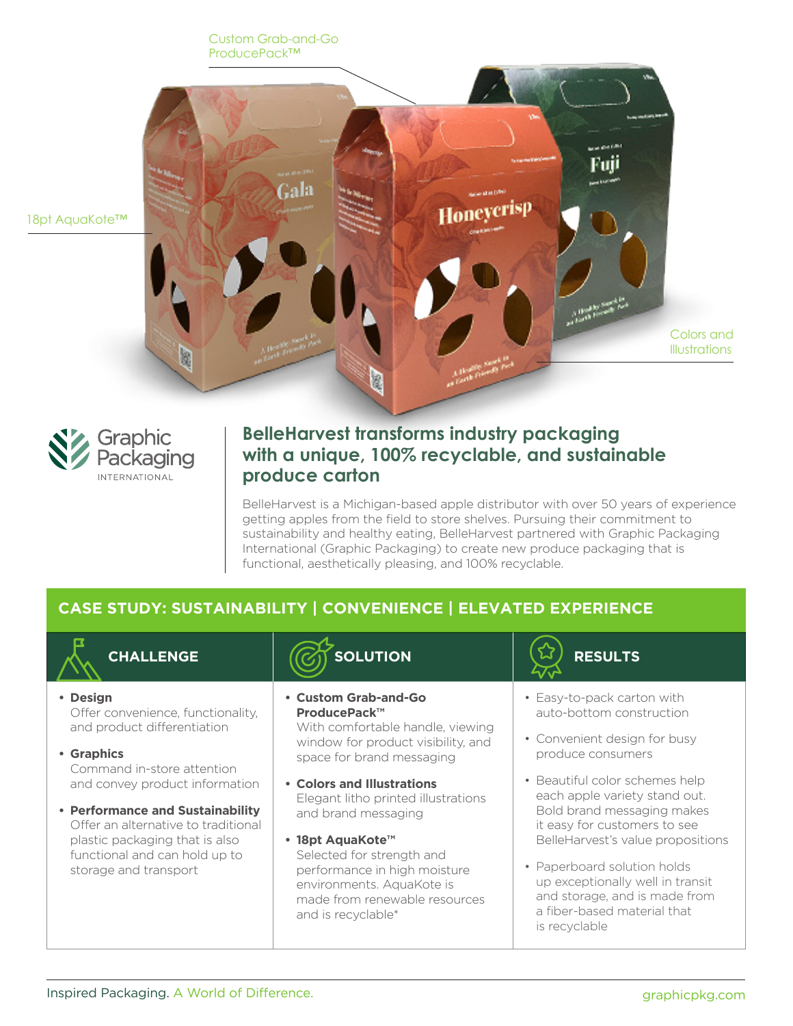Custom Grab-and-Go ProducePack™





## **BelleHarvest transforms industry packaging with a unique, 100% recyclable, and sustainable produce carton**

BelleHarvest is a Michigan-based apple distributor with over 50 years of experience getting apples from the field to store shelves. Pursuing their commitment to sustainability and healthy eating, BelleHarvest partnered with Graphic Packaging International (Graphic Packaging) to create new produce packaging that is functional, aesthetically pleasing, and 100% recyclable.

## **CASE STUDY: SUSTAINABILITY | CONVENIENCE | ELEVATED EXPERIENCE**



- **• Design** Offer convenience, functionality, and product differentiation
- **• Graphics** Command in-store attention and convey product information
- **• Performance and Sustainability** Offer an alternative to traditional plastic packaging that is also functional and can hold up to storage and transport

# **CHALLENGE**  $|(\widetilde{C_1})$  SOLUTION  $|(\widetilde{\lambda})|$  RESULTS

**• Custom Grab-and-Go ProducePack™**

With comfortable handle, viewing window for product visibility, and space for brand messaging

- **• Colors and Illustrations** Elegant litho printed illustrations and brand messaging
- **• 18pt AquaKote™** Selected for strength and performance in high moisture environments. AquaKote is made from renewable resources and is recyclable\*



- Easy-to-pack carton with auto-bottom construction
- Convenient design for busy produce consumers
- Beautiful color schemes help each apple variety stand out. Bold brand messaging makes it easy for customers to see BelleHarvest's value propositions
- Paperboard solution holds up exceptionally well in transit and storage, and is made from a fiber-based material that is recyclable